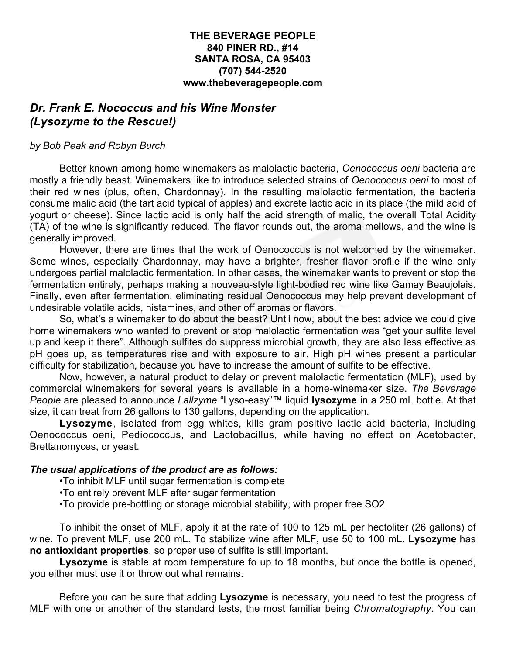## **THE BEVERAGE PEOPLE 840 PINER RD., #14 SANTA ROSA, CA 95403 (707) 544-2520 www.thebeveragepeople.com**

## *Dr. Frank E. Nococcus and his Wine Monster (Lysozyme to the Rescue!)*

## *by Bob Peak and Robyn Burch*

Better known among home winemakers as malolactic bacteria, *Oenococcus oeni* bacteria are mostly a friendly beast. Winemakers like to introduce selected strains of *Oenococcus oeni* to most of their red wines (plus, often, Chardonnay). In the resulting malolactic fermentation, the bacteria consume malic acid (the tart acid typical of apples) and excrete lactic acid in its place (the mild acid of yogurt or cheese). Since lactic acid is only half the acid strength of malic, the overall Total Acidity (TA) of the wine is significantly reduced. The flavor rounds out, the aroma mellows, and the wine is generally improved.

However, there are times that the work of Oenococcus is not welcomed by the winemaker. Some wines, especially Chardonnay, may have a brighter, fresher flavor profile if the wine only undergoes partial malolactic fermentation. In other cases, the winemaker wants to prevent or stop the fermentation entirely, perhaps making a nouveau-style light-bodied red wine like Gamay Beaujolais. Finally, even after fermentation, eliminating residual Oenococcus may help prevent development of undesirable volatile acids, histamines, and other off aromas or flavors.

So, what's a winemaker to do about the beast? Until now, about the best advice we could give home winemakers who wanted to prevent or stop malolactic fermentation was "get your sulfite level up and keep it there". Although sulfites do suppress microbial growth, they are also less effective as pH goes up, as temperatures rise and with exposure to air. High pH wines present a particular difficulty for stabilization, because you have to increase the amount of sulfite to be effective.

Now, however, a natural product to delay or prevent malolactic fermentation (MLF), used by commercial winemakers for several years is available in a home-winemaker size. *The Beverage People* are pleased to announce *Lallzyme* "Lyso-easy"™ liquid **lysozyme** in a 250 mL bottle. At that size, it can treat from 26 gallons to 130 gallons, depending on the application.

Lysozyme, isolated from egg whites, kills gram positive lactic acid bacteria, including Oenococcus oeni, Pediococcus, and Lactobacillus, while having no effect on Acetobacter, Brettanomyces, or yeast.

## *The usual applications of the product are as follows:*

- •To inhibit MLF until sugar fermentation is complete
- •To entirely prevent MLF after sugar fermentation
- •To provide pre-bottling or storage microbial stability, with proper free SO2

To inhibit the onset of MLF, apply it at the rate of 100 to 125 mL per hectoliter (26 gallons) of wine. To prevent MLF, use 200 mL. To stabilize wine after MLF, use 50 to 100 mL. **Lysozyme** has **no antioxidant properties**, so proper use of sulfite is still important.

**Lysozyme** is stable at room temperature fo up to 18 months, but once the bottle is opened, you either must use it or throw out what remains.

Before you can be sure that adding **Lysozyme** is necessary, you need to test the progress of MLF with one or another of the standard tests, the most familiar being *Chromatography*. You can